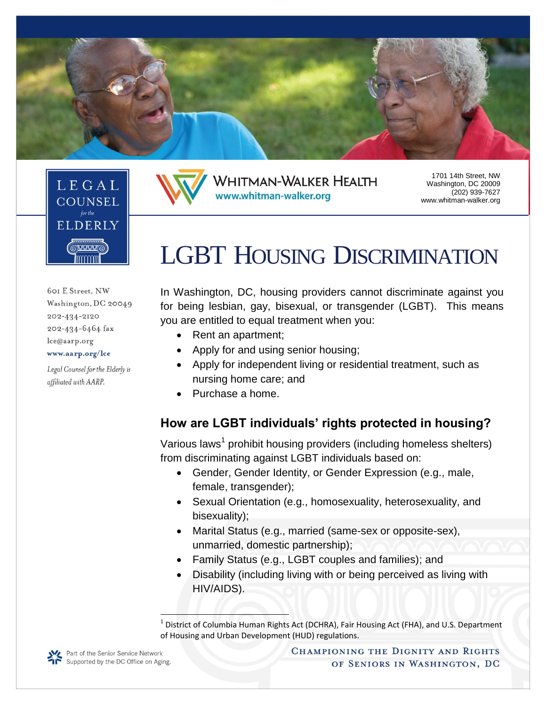

www.whitman-walker.org

**WHITMAN-WALKER HEALTH** 



601 E Street, NW Washington, DC 20049 202-434-2120 202-434-6464 fax lce@aarp.org www.aarp.org/lce

Legal Counsel for the Elderly is affiliated with AARP.

# LGBT HOUSING DISCRIMINATION

1701 14th Street, NW Washington, DC 20009 (202) 939-7627 www.whitman-walker.org

In Washington, DC, housing providers cannot discriminate against you for being lesbian, gay, bisexual, or transgender (LGBT). This means you are entitled to equal treatment when you:

- Rent an apartment:
- Apply for and using senior housing;
- Apply for independent living or residential treatment, such as nursing home care; and
- Purchase a home.

#### **How are LGBT individuals' rights protected in housing?**

Various laws<sup>1</sup> prohibit housing providers (including homeless shelters) from discriminating against LGBT individuals based on:

- Gender, Gender Identity, or Gender Expression (e.g., male, female, transgender);
- Sexual Orientation (e.g., homosexuality, heterosexuality, and bisexuality);
- Marital Status (e.g., married (same-sex or opposite-sex), unmarried, domestic partnership);
- Family Status (e.g., LGBT couples and families); and
- Disability (including living with or being perceived as living with HIV/AIDS).

l



<sup>&</sup>lt;sup>1</sup> District of Columbia Human Rights Act (DCHRA), Fair Housing Act (FHA), and U.S. Department of Housing and Urban Development (HUD) regulations.